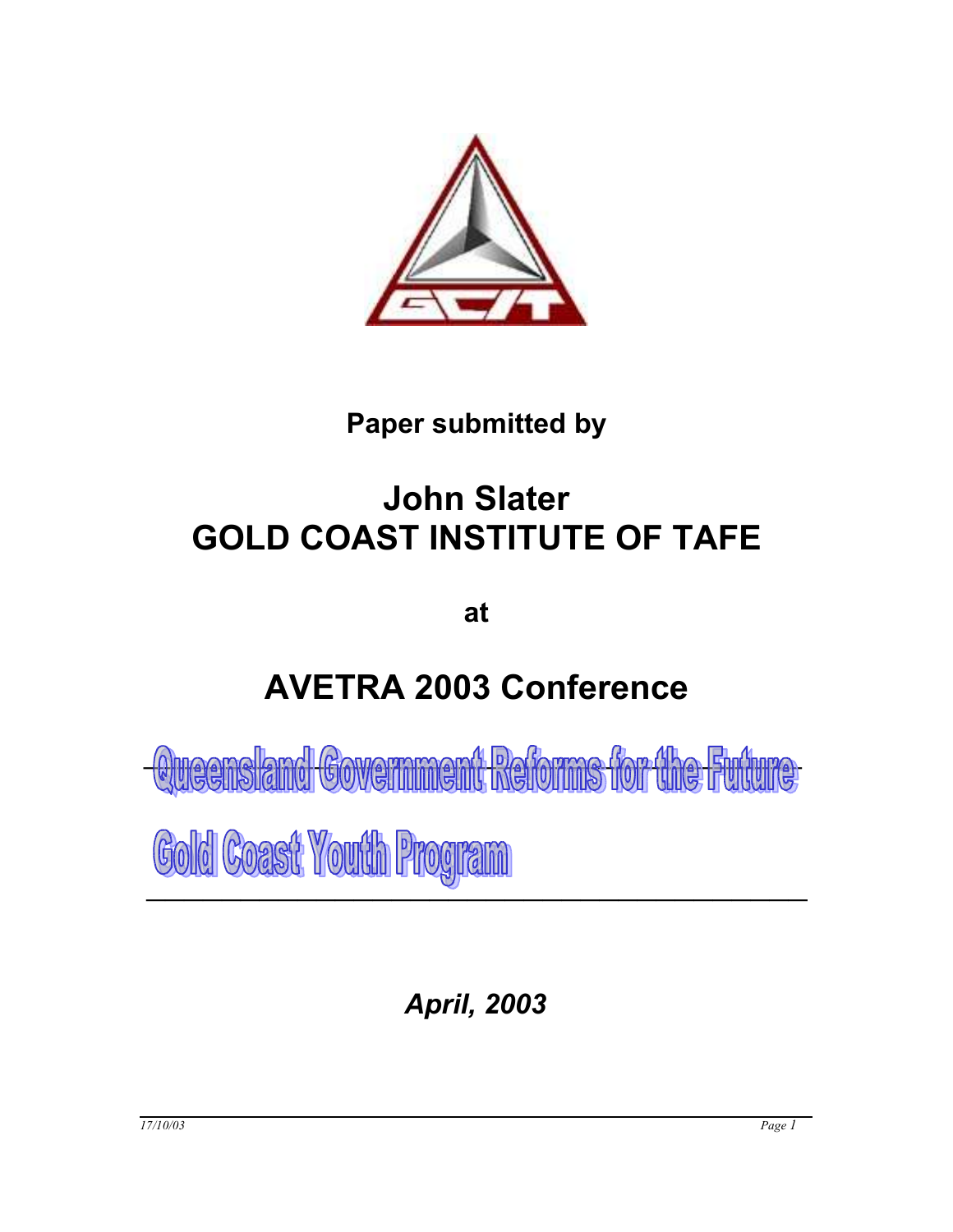

# **Paper submitted by**

# **John Slater GOLD COAST INSTITUTE OF TAFE**

**at**

# **AVETRA 2003 Conference**

*Covernment pationns* 

Gold Coast Youth Program

*April, 2003*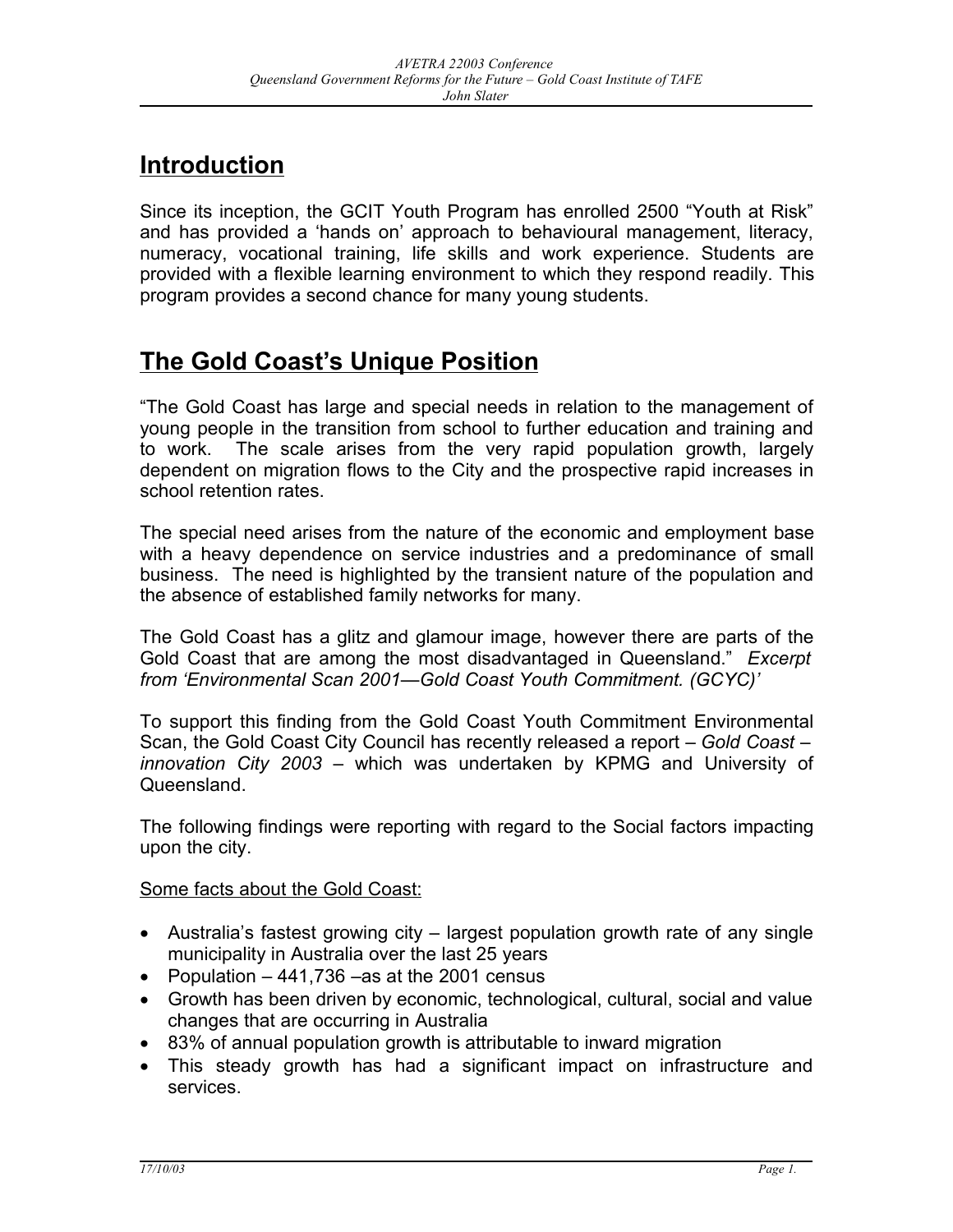# **Introduction**

Since its inception, the GCIT Youth Program has enrolled 2500 "Youth at Risk" and has provided a 'hands on' approach to behavioural management, literacy, numeracy, vocational training, life skills and work experience. Students are provided with a flexible learning environment to which they respond readily. This program provides a second chance for many young students.

# **The Gold Coast's Unique Position**

"The Gold Coast has large and special needs in relation to the management of young people in the transition from school to further education and training and to work. The scale arises from the very rapid population growth, largely dependent on migration flows to the City and the prospective rapid increases in school retention rates.

The special need arises from the nature of the economic and employment base with a heavy dependence on service industries and a predominance of small business. The need is highlighted by the transient nature of the population and the absence of established family networks for many.

The Gold Coast has a glitz and glamour image, however there are parts of the Gold Coast that are among the most disadvantaged in Queensland." *Excerpt from 'Environmental Scan 2001—Gold Coast Youth Commitment. (GCYC)'*

To support this finding from the Gold Coast Youth Commitment Environmental Scan, the Gold Coast City Council has recently released a report – *Gold Coast – innovation City 2003* – which was undertaken by KPMG and University of Queensland.

The following findings were reporting with regard to the Social factors impacting upon the city.

Some facts about the Gold Coast:

- Australia's fastest growing city largest population growth rate of any single municipality in Australia over the last 25 years
- Population  $-441,736$  –as at the 2001 census
- Growth has been driven by economic, technological, cultural, social and value changes that are occurring in Australia
- 83% of annual population growth is attributable to inward migration
- This steady growth has had a significant impact on infrastructure and services.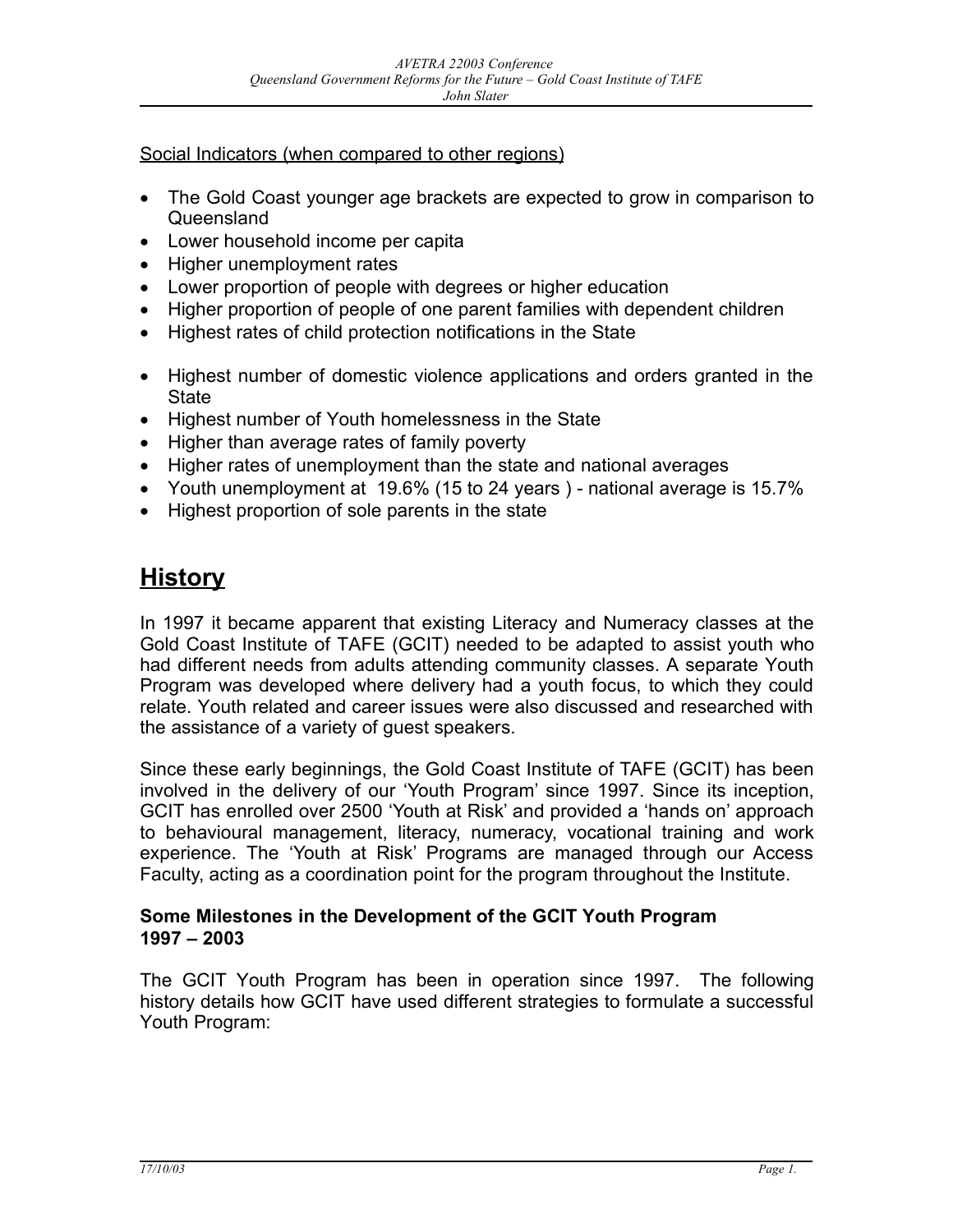#### Social Indicators (when compared to other regions)

- The Gold Coast younger age brackets are expected to grow in comparison to Queensland
- Lower household income per capita
- Higher unemployment rates
- Lower proportion of people with degrees or higher education
- Higher proportion of people of one parent families with dependent children
- Highest rates of child protection notifications in the State
- Highest number of domestic violence applications and orders granted in the **State**
- Highest number of Youth homelessness in the State
- Higher than average rates of family poverty
- Higher rates of unemployment than the state and national averages
- Youth unemployment at 19.6% (15 to 24 years ) national average is 15.7%
- Highest proportion of sole parents in the state

# **History**

In 1997 it became apparent that existing Literacy and Numeracy classes at the Gold Coast Institute of TAFE (GCIT) needed to be adapted to assist youth who had different needs from adults attending community classes. A separate Youth Program was developed where delivery had a youth focus, to which they could relate. Youth related and career issues were also discussed and researched with the assistance of a variety of guest speakers.

Since these early beginnings, the Gold Coast Institute of TAFE (GCIT) has been involved in the delivery of our 'Youth Program' since 1997. Since its inception, GCIT has enrolled over 2500 'Youth at Risk' and provided a 'hands on' approach to behavioural management, literacy, numeracy, vocational training and work experience. The 'Youth at Risk' Programs are managed through our Access Faculty, acting as a coordination point for the program throughout the Institute.

#### **Some Milestones in the Development of the GCIT Youth Program 1997 – 2003**

The GCIT Youth Program has been in operation since 1997. The following history details how GCIT have used different strategies to formulate a successful Youth Program: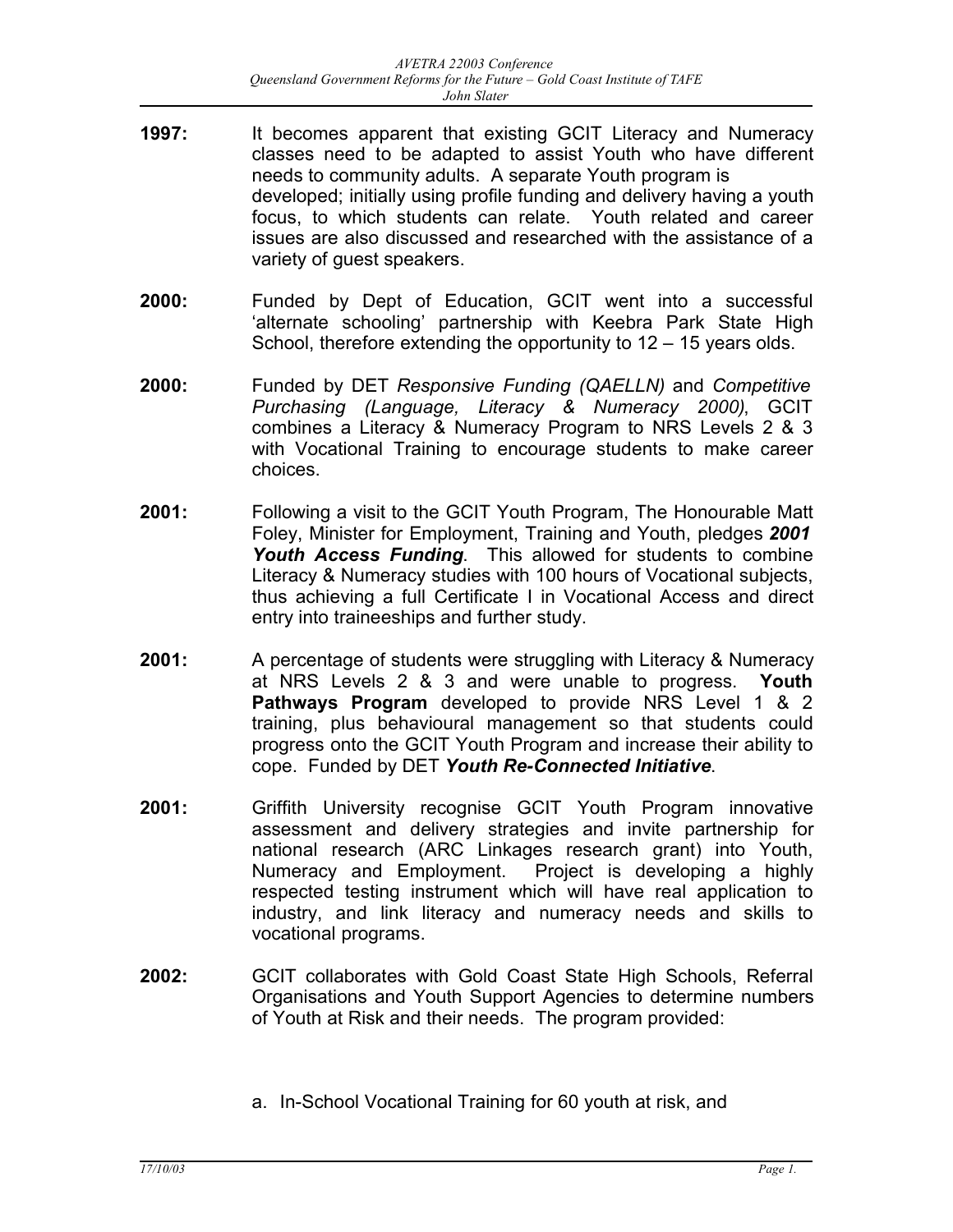- **1997:** It becomes apparent that existing GCIT Literacy and Numeracy classes need to be adapted to assist Youth who have different needs to community adults. A separate Youth program is developed; initially using profile funding and delivery having a youth focus, to which students can relate. Youth related and career issues are also discussed and researched with the assistance of a variety of guest speakers.
- **2000:** Funded by Dept of Education, GCIT went into a successful 'alternate schooling' partnership with Keebra Park State High School, therefore extending the opportunity to 12 – 15 years olds.
- **2000:** Funded by DET *Responsive Funding (QAELLN)* and *Competitive Purchasing (Language, Literacy & Numeracy 2000)*, GCIT combines a Literacy & Numeracy Program to NRS Levels 2 & 3 with Vocational Training to encourage students to make career choices.
- **2001:** Following a visit to the GCIT Youth Program, The Honourable Matt Foley, Minister for Employment, Training and Youth, pledges *2001 Youth Access Funding*. This allowed for students to combine Literacy & Numeracy studies with 100 hours of Vocational subjects, thus achieving a full Certificate I in Vocational Access and direct entry into traineeships and further study.
- **2001:** A percentage of students were struggling with Literacy & Numeracy at NRS Levels 2 & 3 and were unable to progress. **Youth Pathways Program** developed to provide NRS Level 1 & 2 training, plus behavioural management so that students could progress onto the GCIT Youth Program and increase their ability to cope. Funded by DET *Youth Re-Connected Initiative*.
- **2001:** Griffith University recognise GCIT Youth Program innovative assessment and delivery strategies and invite partnership for national research (ARC Linkages research grant) into Youth, Numeracy and Employment. Project is developing a highly respected testing instrument which will have real application to industry, and link literacy and numeracy needs and skills to vocational programs.
- **2002:** GCIT collaborates with Gold Coast State High Schools, Referral Organisations and Youth Support Agencies to determine numbers of Youth at Risk and their needs. The program provided:
	- a. In-School Vocational Training for 60 youth at risk, and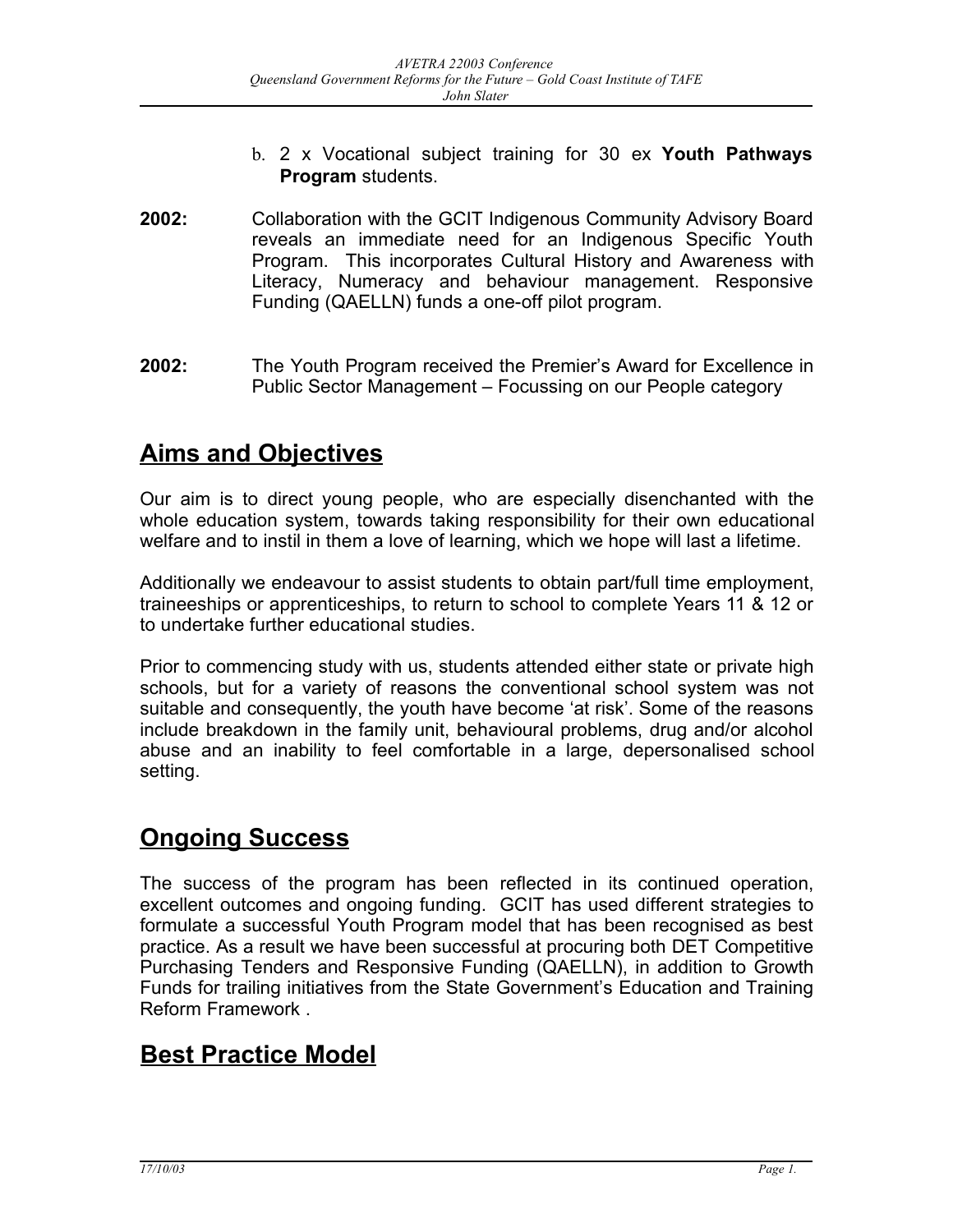- b. 2 x Vocational subject training for 30 ex **Youth Pathways Program** students.
- **2002:** Collaboration with the GCIT Indigenous Community Advisory Board reveals an immediate need for an Indigenous Specific Youth Program. This incorporates Cultural History and Awareness with Literacy, Numeracy and behaviour management. Responsive Funding (QAELLN) funds a one-off pilot program.
- **2002:** The Youth Program received the Premier's Award for Excellence in Public Sector Management – Focussing on our People category

# **Aims and Objectives**

Our aim is to direct young people, who are especially disenchanted with the whole education system, towards taking responsibility for their own educational welfare and to instil in them a love of learning, which we hope will last a lifetime.

Additionally we endeavour to assist students to obtain part/full time employment, traineeships or apprenticeships, to return to school to complete Years 11 & 12 or to undertake further educational studies.

Prior to commencing study with us, students attended either state or private high schools, but for a variety of reasons the conventional school system was not suitable and consequently, the youth have become 'at risk'. Some of the reasons include breakdown in the family unit, behavioural problems, drug and/or alcohol abuse and an inability to feel comfortable in a large, depersonalised school setting.

# **Ongoing Success**

The success of the program has been reflected in its continued operation, excellent outcomes and ongoing funding. GCIT has used different strategies to formulate a successful Youth Program model that has been recognised as best practice. As a result we have been successful at procuring both DET Competitive Purchasing Tenders and Responsive Funding (QAELLN), in addition to Growth Funds for trailing initiatives from the State Government's Education and Training Reform Framework .

# **Best Practice Model**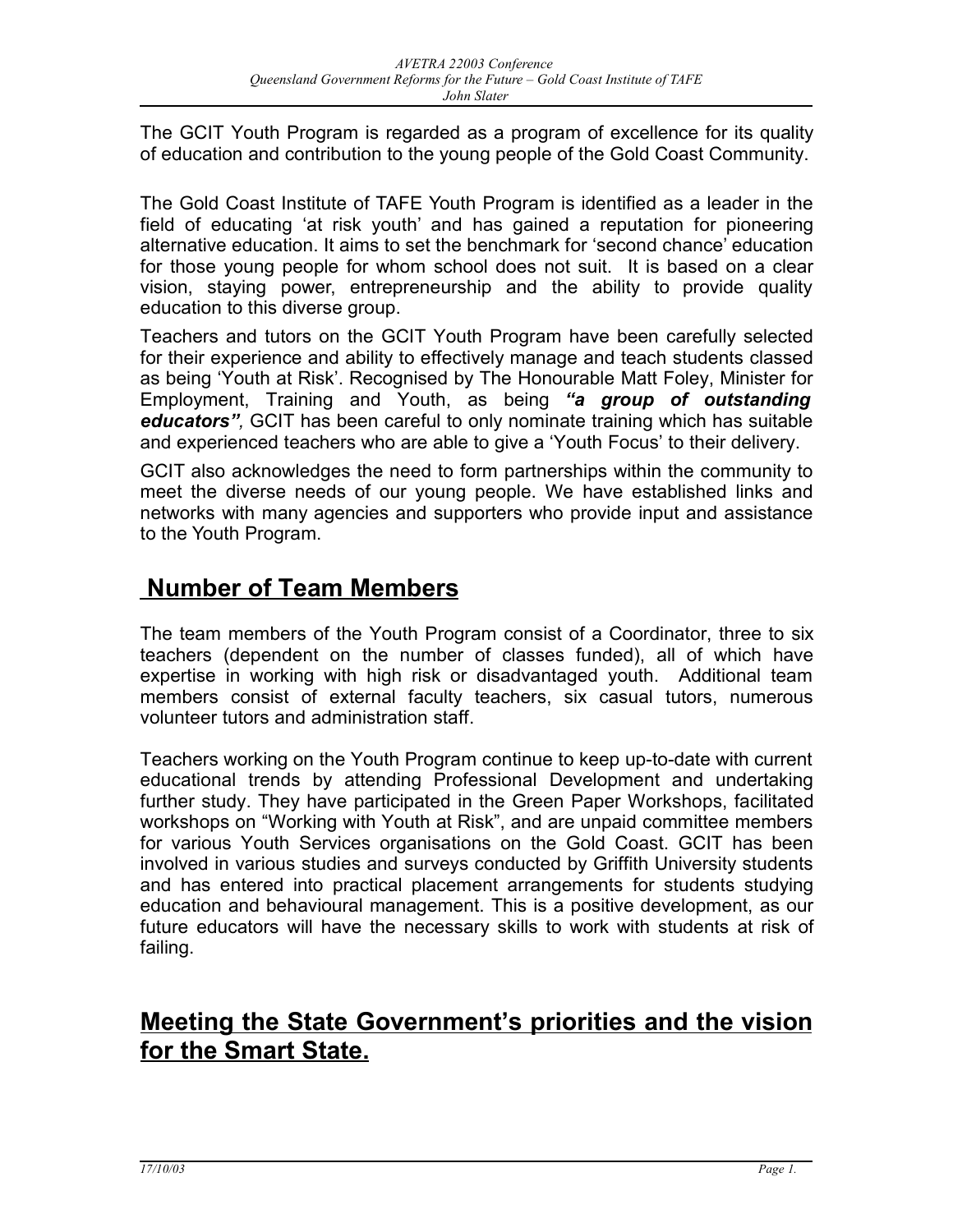The GCIT Youth Program is regarded as a program of excellence for its quality of education and contribution to the young people of the Gold Coast Community.

The Gold Coast Institute of TAFE Youth Program is identified as a leader in the field of educating 'at risk youth' and has gained a reputation for pioneering alternative education. It aims to set the benchmark for 'second chance' education for those young people for whom school does not suit. It is based on a clear vision, staying power, entrepreneurship and the ability to provide quality education to this diverse group.

Teachers and tutors on the GCIT Youth Program have been carefully selected for their experience and ability to effectively manage and teach students classed as being 'Youth at Risk'. Recognised by The Honourable Matt Foley, Minister for Employment, Training and Youth, as being *"a group of outstanding educators",* GCIT has been careful to only nominate training which has suitable and experienced teachers who are able to give a 'Youth Focus' to their delivery.

GCIT also acknowledges the need to form partnerships within the community to meet the diverse needs of our young people. We have established links and networks with many agencies and supporters who provide input and assistance to the Youth Program.

### **Nu mber of Team Members**

The team members of the Youth Program consist of a Coordinator, three to six teachers (dependent on the number of classes funded), all of which have expertise in working with high risk or disadvantaged youth. Additional team members consist of external faculty teachers, six casual tutors, numerous volunteer tutors and administration staff.

Teachers working on the Youth Program continue to keep up-to-date with current educational trends by attending Professional Development and undertaking further study. They have participated in the Green Paper Workshops, facilitated workshops on "Working with Youth at Risk", and are unpaid committee members for various Youth Services organisations on the Gold Coast. GCIT has been involved in various studies and surveys conducted by Griffith University students and has entered into practical placement arrangements for students studying education and behavioural management. This is a positive development, as our future educators will have the necessary skills to work with students at risk of failing.

### **Meeting the State Government's priorities and the vision for the Smart State.**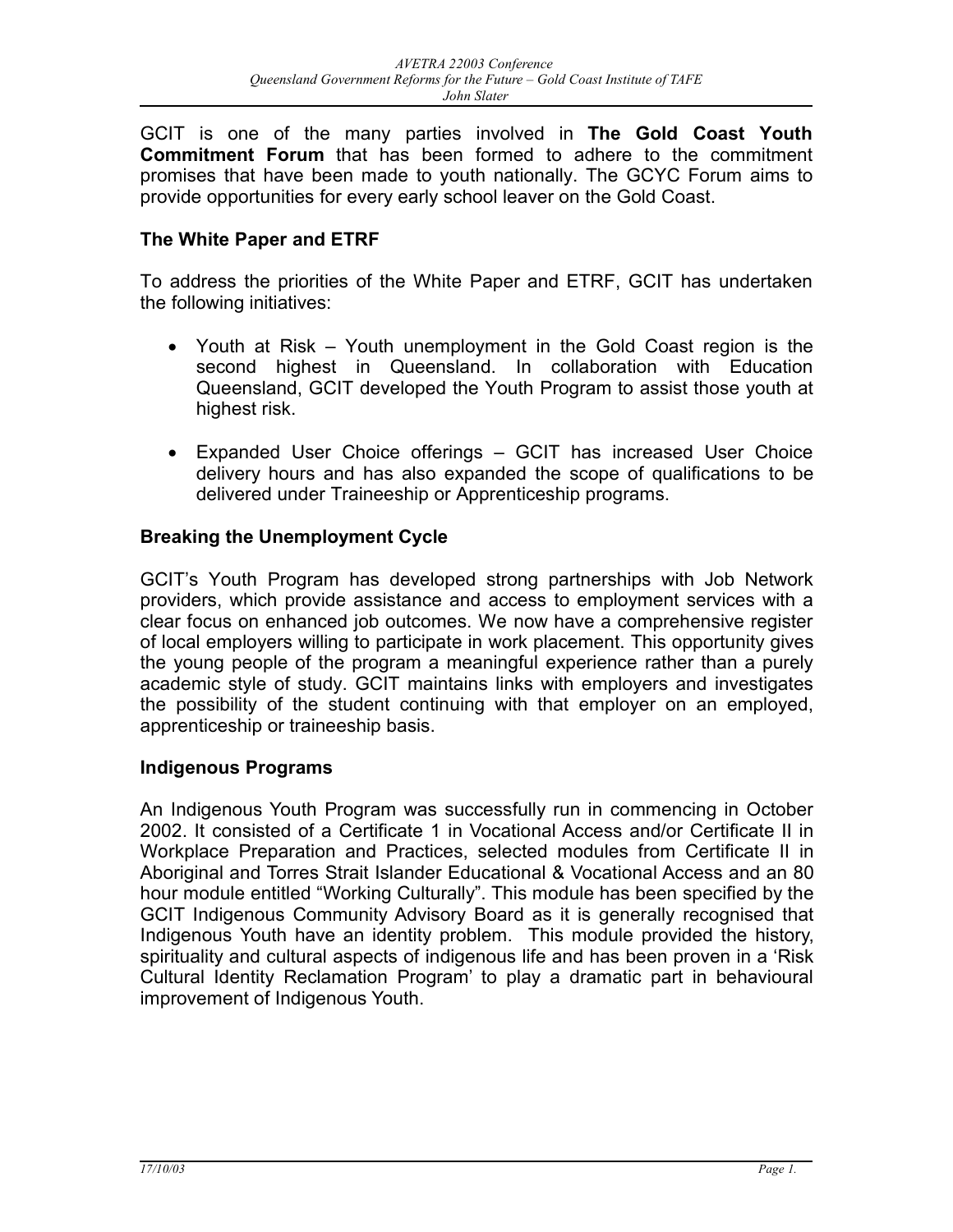GCIT is one of the many parties involved in **The Gold Coast Youth Commitment Forum** that has been formed to adhere to the commitment promises that have been made to youth nationally. The GCYC Forum aims to provide opportunities for every early school leaver on the Gold Coast.

#### **The White Paper and ETRF**

To address the priorities of the White Paper and ETRF, GCIT has undertaken the following initiatives:

- Youth at Risk Youth unemployment in the Gold Coast region is the second highest in Queensland. In collaboration with Education Queensland, GCIT developed the Youth Program to assist those youth at highest risk.
- Expanded User Choice offerings GCIT has increased User Choice delivery hours and has also expanded the scope of qualifications to be delivered under Traineeship or Apprenticeship programs.

#### **Breaking the Unemployment Cycle**

GCIT's Youth Program has developed strong partnerships with Job Network providers, which provide assistance and access to employment services with a clear focus on enhanced job outcomes. We now have a comprehensive register of local employers willing to participate in work placement. This opportunity gives the young people of the program a meaningful experience rather than a purely academic style of study. GCIT maintains links with employers and investigates the possibility of the student continuing with that employer on an employed, apprenticeship or traineeship basis.

#### **Indigenous Programs**

An Indigenous Youth Program was successfully run in commencing in October 2002. It consisted of a Certificate 1 in Vocational Access and/or Certificate II in Workplace Preparation and Practices, selected modules from Certificate II in Aboriginal and Torres Strait Islander Educational & Vocational Access and an 80 hour module entitled "Working Culturally". This module has been specified by the GCIT Indigenous Community Advisory Board as it is generally recognised that Indigenous Youth have an identity problem. This module provided the history, spirituality and cultural aspects of indigenous life and has been proven in a 'Risk Cultural Identity Reclamation Program' to play a dramatic part in behavioural improvement of Indigenous Youth.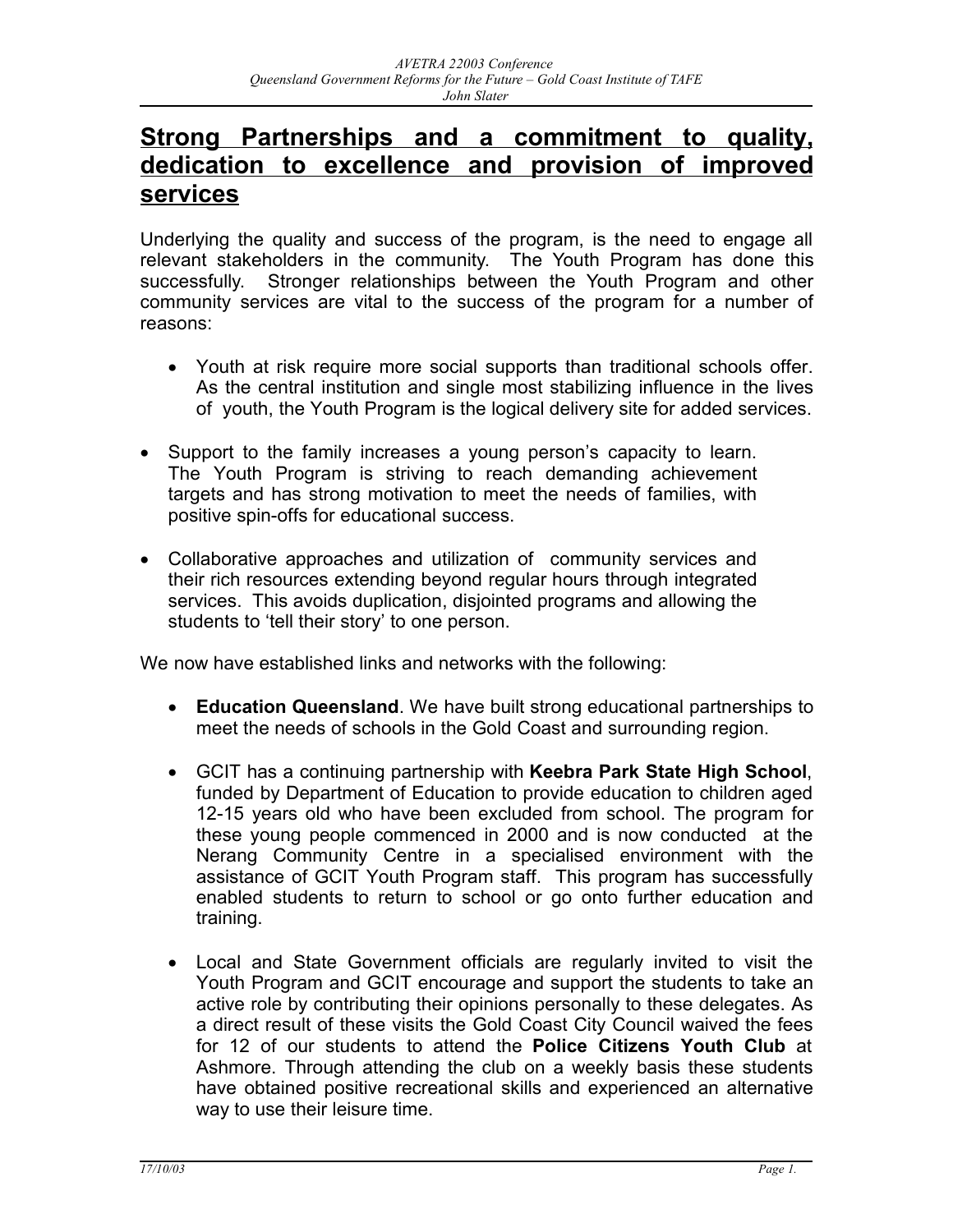### **Strong Partnerships and a commitment to quality, dedication to excellence and provision of improved services**

Underlying the quality and success of the program, is the need to engage all relevant stakeholders in the community. The Youth Program has done this successfully. Stronger relationships between the Youth Program and other community services are vital to the success of the program for a number of reasons:

- Youth at risk require more social supports than traditional schools offer. As the central institution and single most stabilizing influence in the lives of youth, the Youth Program is the logical delivery site for added services.
- Support to the family increases a young person's capacity to learn. The Youth Program is striving to reach demanding achievement targets and has strong motivation to meet the needs of families, with positive spin-offs for educational success.
- Collaborative approaches and utilization of community services and their rich resources extending beyond regular hours through integrated services. This avoids duplication, disjointed programs and allowing the students to 'tell their story' to one person.

We now have established links and networks with the following:

- **Education Queensland**. We have built strong educational partnerships to meet the needs of schools in the Gold Coast and surrounding region.
- GCIT has a continuing partnership with **Keebra Park State High School**, funded by Department of Education to provide education to children aged 12-15 years old who have been excluded from school. The program for these young people commenced in 2000 and is now conducted at the Nerang Community Centre in a specialised environment with the assistance of GCIT Youth Program staff. This program has successfully enabled students to return to school or go onto further education and training.
- Local and State Government officials are regularly invited to visit the Youth Program and GCIT encourage and support the students to take an active role by contributing their opinions personally to these delegates. As a direct result of these visits the Gold Coast City Council waived the fees for 12 of our students to attend the **Police Citizens Youth Club** at Ashmore. Through attending the club on a weekly basis these students have obtained positive recreational skills and experienced an alternative way to use their leisure time.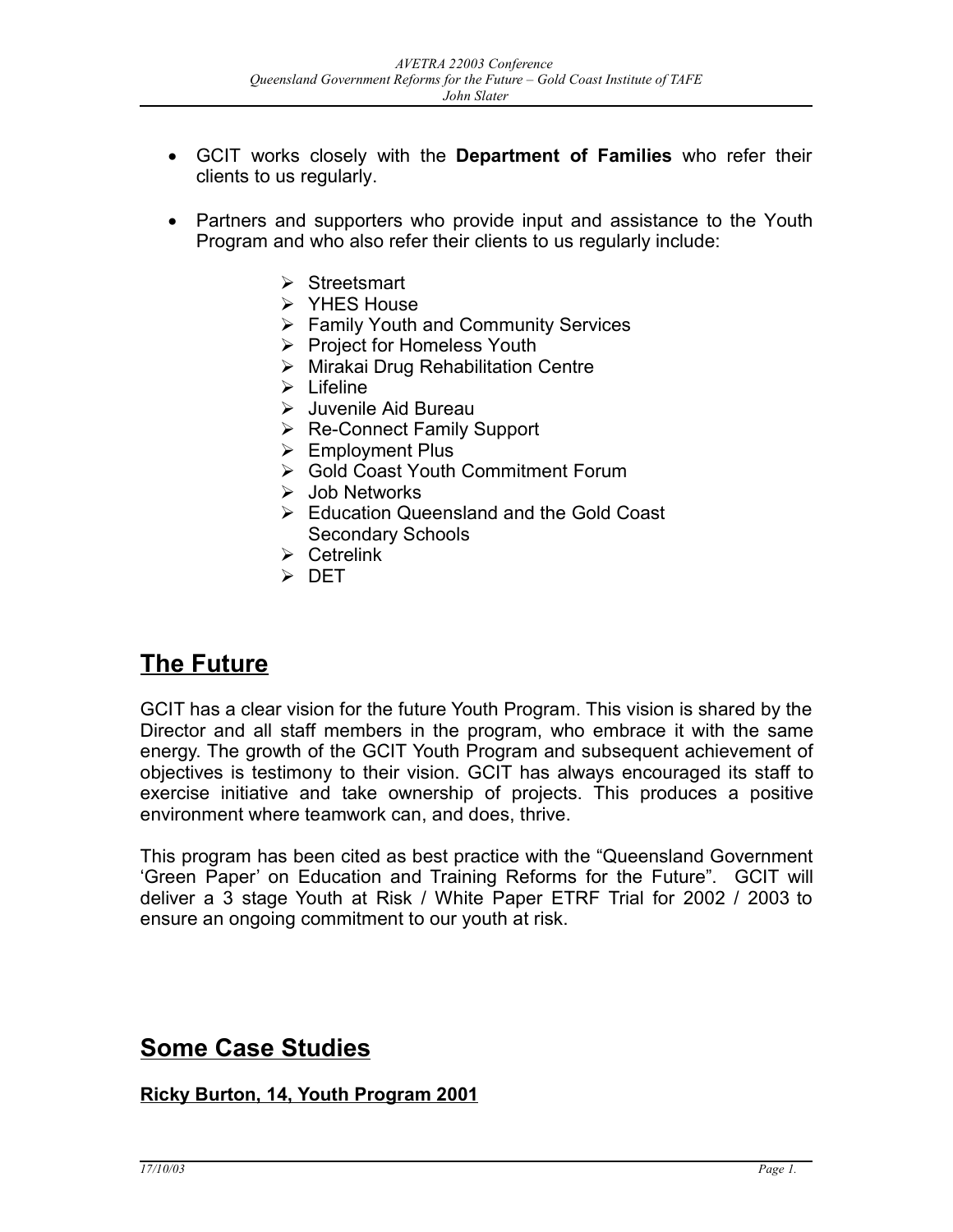- GCIT works closely with the **Department of Families** who refer their clients to us regularly.
- Partners and supporters who provide input and assistance to the Youth Program and who also refer their clients to us regularly include:
	- $\triangleright$  Streetsmart
	- $\triangleright$  YHES House
	- **► Family Youth and Community Services**
	- ▶ Project for Homeless Youth
	- $\triangleright$  Mirakai Drug Rehabilitation Centre
	- $\triangleright$  Lifeline
	- Juvenile Aid Bureau
	- $\triangleright$  Re-Connect Family Support
	- $\triangleright$  Employment Plus
	- ▶ Gold Coast Youth Commitment Forum
	- $\triangleright$  Job Networks
	- Education Queensland and the Gold Coast Secondary Schools
	- $\triangleright$  Cetrelink
	- DET

### **The Future**

GCIT has a clear vision for the future Youth Program. This vision is shared by the Director and all staff members in the program, who embrace it with the same energy. The growth of the GCIT Youth Program and subsequent achievement of objectives is testimony to their vision. GCIT has always encouraged its staff to exercise initiative and take ownership of projects. This produces a positive environment where teamwork can, and does, thrive.

This program has been cited as best practice with the "Queensland Government 'Green Paper' on Education and Training Reforms for the Future". GCIT will deliver a 3 stage Youth at Risk / White Paper ETRF Trial for 2002 / 2003 to ensure an ongoing commitment to our youth at risk.

### **Some Case Studies**

#### **Ricky Burton, 14, Youth Program 2001**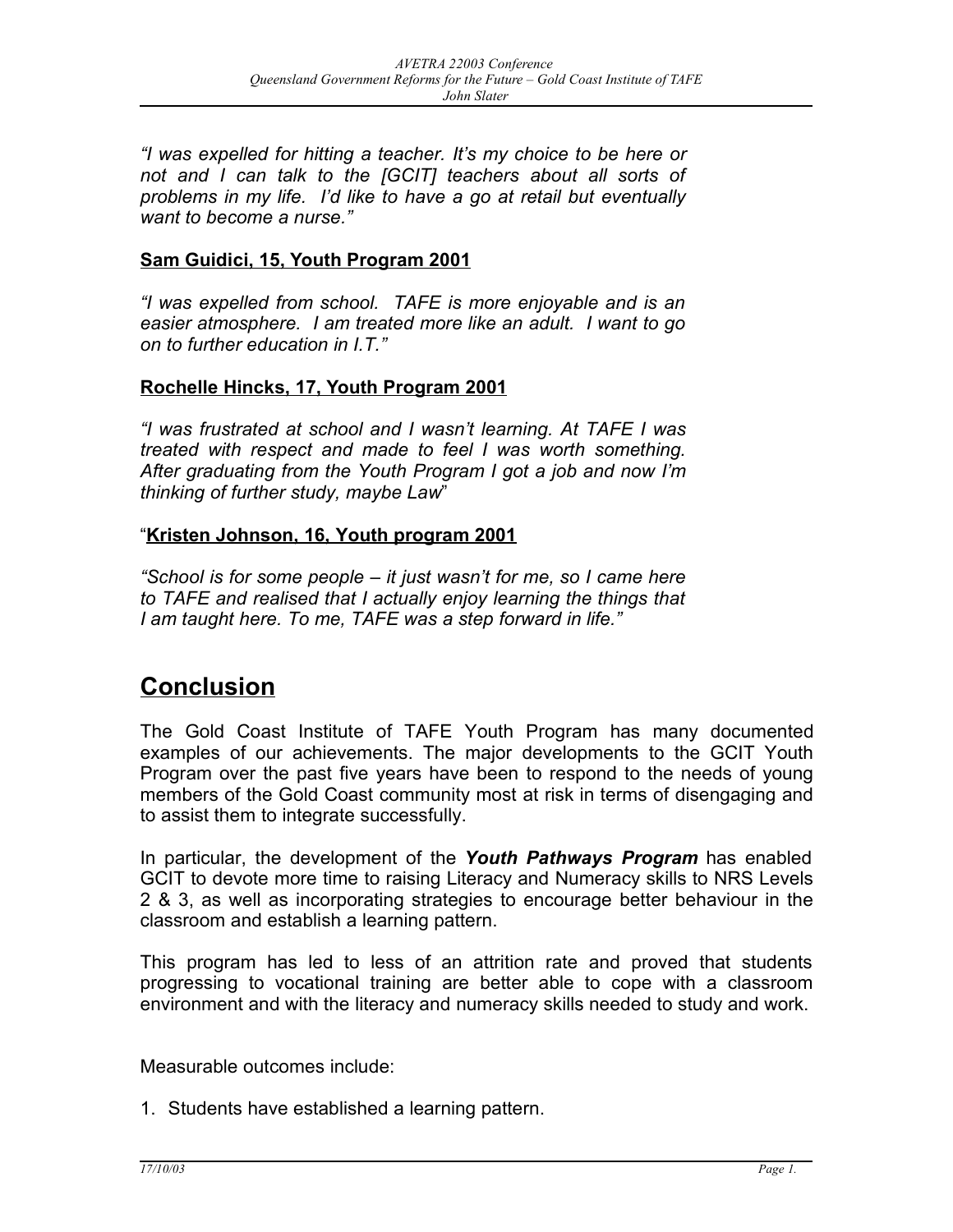*"I was expelled for hitting a teacher. It's my choice to be here or not and I can talk to the [GCIT] teachers about all sorts of problems in my life. I'd like to have a go at retail but eventually want to become a nurse."*

#### **Sam Guidici, 15, Youth Program 2001**

*"I was expelled from school. TAFE is more enjoyable and is an easier atmosphere. I am treated more like an adult. I want to go on to further education in I.T."*

#### **Rochelle Hincks, 17, Youth Program 2001**

*"I was frustrated at school and I wasn't learning. At TAFE I was treated with respect and made to feel I was worth something. After graduating from the Youth Program I got a job and now I'm thinking of further study, maybe Law*"

#### "**Kristen Johnson, 16, Youth program 2001**

*"School is for some people – it just wasn't for me, so I came here to TAFE and realised that I actually enjoy learning the things that I am taught here. To me, TAFE was a step forward in life."*

### **Conclusion**

The Gold Coast Institute of TAFE Youth Program has many documented examples of our achievements. The major developments to the GCIT Youth Program over the past five years have been to respond to the needs of young members of the Gold Coast community most at risk in terms of disengaging and to assist them to integrate successfully.

In particular, the development of the *Youth Pathways Program* has enabled GCIT to devote more time to raising Literacy and Numeracy skills to NRS Levels 2 & 3, as well as incorporating strategies to encourage better behaviour in the classroom and establish a learning pattern.

This program has led to less of an attrition rate and proved that students progressing to vocational training are better able to cope with a classroom environment and with the literacy and numeracy skills needed to study and work.

Measurable outcomes include:

1. Students have established a learning pattern.